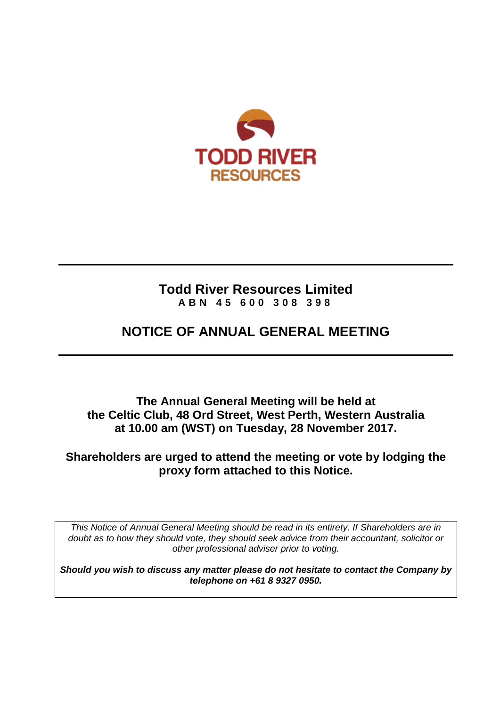

# **Todd River Resources Limited ABN 45 600 308 398**

# **NOTICE OF ANNUAL GENERAL MEETING**

**The Annual General Meeting will be held at the Celtic Club, 48 Ord Street, West Perth, Western Australia at 10.00 am (WST) on Tuesday, 28 November 2017.**

# **Shareholders are urged to attend the meeting or vote by lodging the proxy form attached to this Notice.**

*This Notice of Annual General Meeting should be read in its entirety. If Shareholders are in doubt as to how they should vote, they should seek advice from their accountant, solicitor or other professional adviser prior to voting.*

*Should you wish to discuss any matter please do not hesitate to contact the Company by telephone on +61 8 9327 0950.*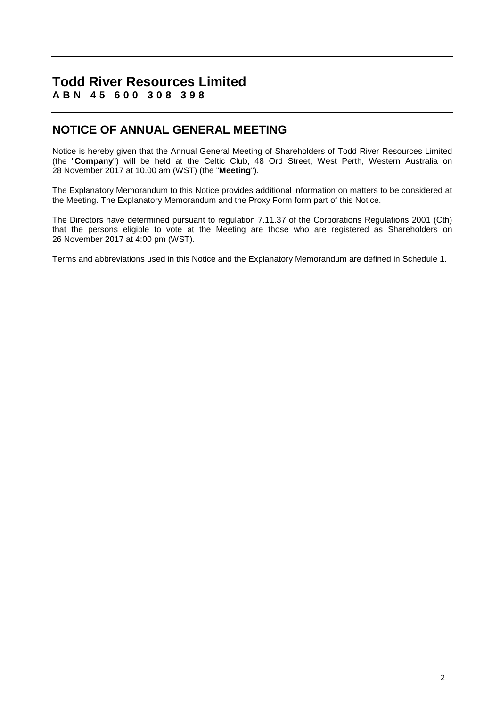### **Todd River Resources Limited ABN 45 600 308 398**

# **NOTICE OF ANNUAL GENERAL MEETING**

Notice is hereby given that the Annual General Meeting of Shareholders of Todd River Resources Limited (the "**Company**") will be held at the Celtic Club, 48 Ord Street, West Perth, Western Australia on 28 November 2017 at 10.00 am (WST) (the "**Meeting**").

The Explanatory Memorandum to this Notice provides additional information on matters to be considered at the Meeting. The Explanatory Memorandum and the Proxy Form form part of this Notice.

The Directors have determined pursuant to regulation 7.11.37 of the Corporations Regulations 2001 (Cth) that the persons eligible to vote at the Meeting are those who are registered as Shareholders on 26 November 2017 at 4:00 pm (WST).

Terms and abbreviations used in this Notice and the Explanatory Memorandum are defined in [Schedule](#page-15-0) 1.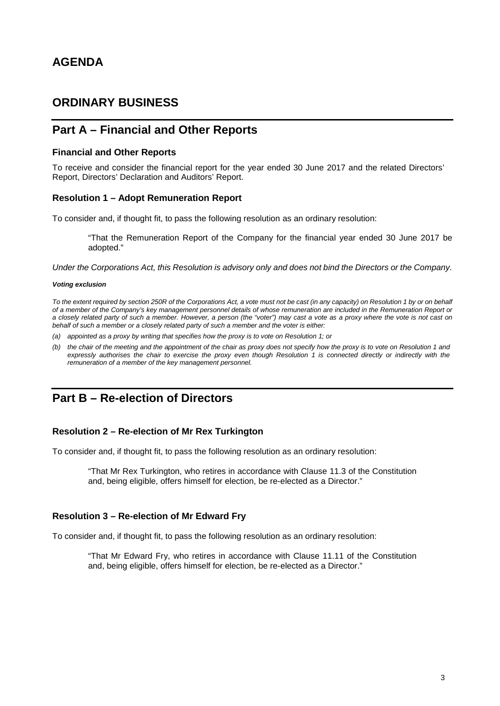# **AGENDA**

### **ORDINARY BUSINESS**

### **Part A – Financial and Other Reports**

#### **Financial and Other Reports**

To receive and consider the financial report for the year ended 30 June 2017 and the related Directors' Report, Directors' Declaration and Auditors' Report.

#### **Resolution 1 – Adopt Remuneration Report**

To consider and, if thought fit, to pass the following resolution as an ordinary resolution:

"That the Remuneration Report of the Company for the financial year ended 30 June 2017 be adopted."

*Under the Corporations Act, this Resolution is advisory only and does not bind the Directors or the Company.*

#### *Voting exclusion*

*To the extent required by section 250R of the Corporations Act, a vote must not be cast (in any capacity) on Resolution 1 by or on behalf of a member of the Company's key management personnel details of whose remuneration are included in the Remuneration Report or a closely related party of such a member. However, a person (the "voter") may cast a vote as a proxy where the vote is not cast on behalf of such a member or a closely related party of such a member and the voter is either:*

- *(a) appointed as a proxy by writing that specifies how the proxy is to vote on Resolution 1; or*
- *(b) the chair of the meeting and the appointment of the chair as proxy does not specify how the proxy is to vote on Resolution 1 and expressly authorises the chair to exercise the proxy even though Resolution 1 is connected directly or indirectly with the remuneration of a member of the key management personnel.*

# **Part B – Re-election of Directors**

#### **Resolution 2 – Re-election of Mr Rex Turkington**

To consider and, if thought fit, to pass the following resolution as an ordinary resolution:

"That Mr Rex Turkington, who retires in accordance with Clause 11.3 of the Constitution and, being eligible, offers himself for election, be re-elected as a Director."

#### **Resolution 3 – Re-election of Mr Edward Fry**

To consider and, if thought fit, to pass the following resolution as an ordinary resolution:

"That Mr Edward Fry, who retires in accordance with Clause 11.11 of the Constitution and, being eligible, offers himself for election, be re-elected as a Director."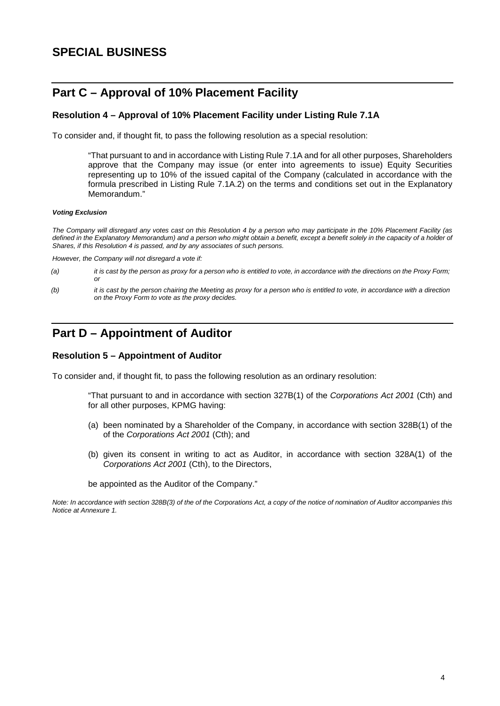# **Part C – Approval of 10% Placement Facility**

### **Resolution 4 – Approval of 10% Placement Facility under Listing Rule 7.1A**

To consider and, if thought fit, to pass the following resolution as a special resolution:

"That pursuant to and in accordance with Listing Rule 7.1A and for all other purposes, Shareholders approve that the Company may issue (or enter into agreements to issue) Equity Securities representing up to 10% of the issued capital of the Company (calculated in accordance with the formula prescribed in Listing Rule 7.1A.2) on the terms and conditions set out in the Explanatory Memorandum."

#### *Voting Exclusion*

*The Company will disregard any votes cast on this Resolution 4 by a person who may participate in the 10% Placement Facility (as*  defined in the Explanatory Memorandum) and a person who might obtain a benefit, except a benefit solely in the capacity of a holder of *Shares, if this Resolution 4 is passed, and by any associates of such persons.*

*However, the Company will not disregard a vote if:*

- *(a) it is cast by the person as proxy for a person who is entitled to vote, in accordance with the directions on the Proxy Form; or*
- *(b) it is cast by the person chairing the Meeting as proxy for a person who is entitled to vote, in accordance with a direction on the Proxy Form to vote as the proxy decides.*

# **Part D – Appointment of Auditor**

#### **Resolution 5 – Appointment of Auditor**

To consider and, if thought fit, to pass the following resolution as an ordinary resolution:

"That pursuant to and in accordance with section 327B(1) of the *Corporations Act 2001* (Cth) and for all other purposes, KPMG having:

- (a) been nominated by a Shareholder of the Company, in accordance with section 328B(1) of the of the *Corporations Act 2001* (Cth); and
- (b) given its consent in writing to act as Auditor, in accordance with section 328A(1) of the *Corporations Act 2001* (Cth), to the Directors,

be appointed as the Auditor of the Company."

*Note: In accordance with section 328B(3) of the of the Corporations Act, a copy of the notice of nomination of Auditor accompanies this Notice at Annexure 1.*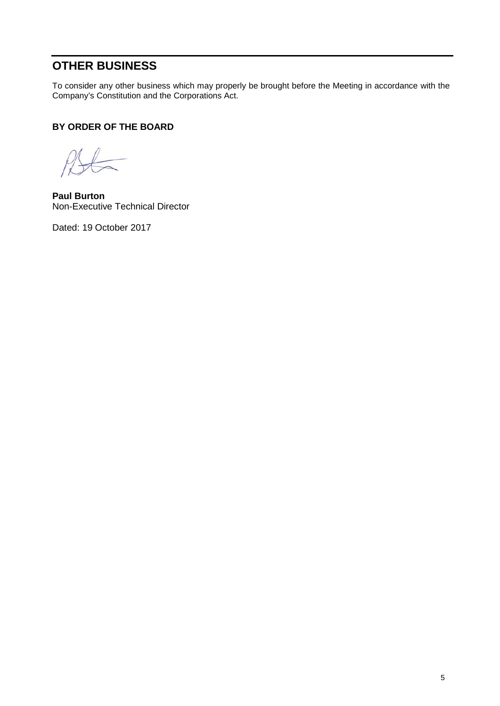# **OTHER BUSINESS**

To consider any other business which may properly be brought before the Meeting in accordance with the Company's Constitution and the Corporations Act.

### **BY ORDER OF THE BOARD**

 $B\leftarrow$ 

**Paul Burton** Non-Executive Technical Director

Dated: 19 October 2017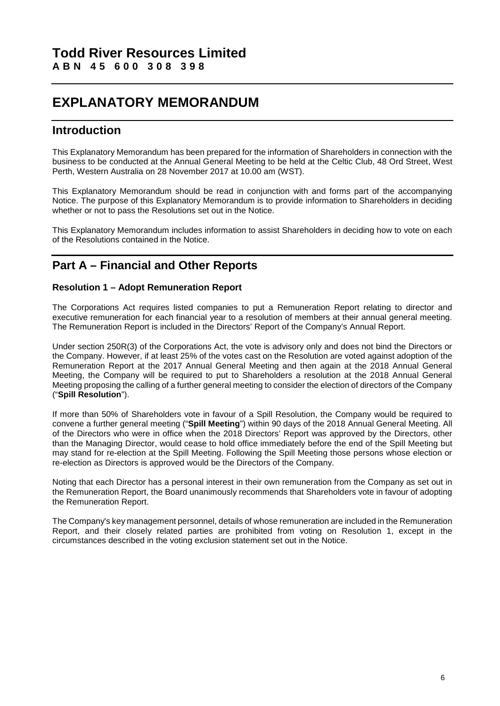# **EXPLANATORY MEMORANDUM**

### **Introduction**

This Explanatory Memorandum has been prepared for the information of Shareholders in connection with the business to be conducted at the Annual General Meeting to be held at the Celtic Club, 48 Ord Street, West Perth, Western Australia on 28 November 2017 at 10.00 am (WST).

This Explanatory Memorandum should be read in conjunction with and forms part of the accompanying Notice. The purpose of this Explanatory Memorandum is to provide information to Shareholders in deciding whether or not to pass the Resolutions set out in the Notice.

This Explanatory Memorandum includes information to assist Shareholders in deciding how to vote on each of the Resolutions contained in the Notice.

# **Part A – Financial and Other Reports**

### **Resolution 1 – Adopt Remuneration Report**

The Corporations Act requires listed companies to put a Remuneration Report relating to director and executive remuneration for each financial year to a resolution of members at their annual general meeting. The Remuneration Report is included in the Directors' Report of the Company's Annual Report.

Under section 250R(3) of the Corporations Act, the vote is advisory only and does not bind the Directors or the Company. However, if at least 25% of the votes cast on the Resolution are voted against adoption of the Remuneration Report at the 2017 Annual General Meeting and then again at the 2018 Annual General Meeting, the Company will be required to put to Shareholders a resolution at the 2018 Annual General Meeting proposing the calling of a further general meeting to consider the election of directors of the Company ("**Spill Resolution**").

If more than 50% of Shareholders vote in favour of a Spill Resolution, the Company would be required to convene a further general meeting ("**Spill Meeting**") within 90 days of the 2018 Annual General Meeting. All of the Directors who were in office when the 2018 Directors' Report was approved by the Directors, other than the Managing Director, would cease to hold office immediately before the end of the Spill Meeting but may stand for re-election at the Spill Meeting. Following the Spill Meeting those persons whose election or re-election as Directors is approved would be the Directors of the Company.

Noting that each Director has a personal interest in their own remuneration from the Company as set out in the Remuneration Report, the Board unanimously recommends that Shareholders vote in favour of adopting the Remuneration Report.

The Company's key management personnel, details of whose remuneration are included in the Remuneration Report, and their closely related parties are prohibited from voting on Resolution 1, except in the circumstances described in the voting exclusion statement set out in the Notice.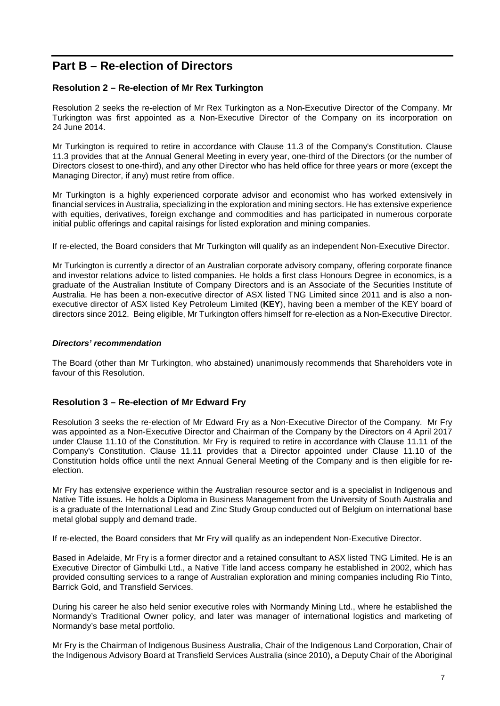# **Part B – Re-election of Directors**

### **Resolution 2 – Re-election of Mr Rex Turkington**

Resolution 2 seeks the re-election of Mr Rex Turkington as a Non-Executive Director of the Company. Mr Turkington was first appointed as a Non-Executive Director of the Company on its incorporation on 24 June 2014.

Mr Turkington is required to retire in accordance with Clause 11.3 of the Company's Constitution. Clause 11.3 provides that at the Annual General Meeting in every year, one-third of the Directors (or the number of Directors closest to one-third), and any other Director who has held office for three years or more (except the Managing Director, if any) must retire from office.

Mr Turkington is a highly experienced corporate advisor and economist who has worked extensively in financial services in Australia, specializing in the exploration and mining sectors. He has extensive experience with equities, derivatives, foreign exchange and commodities and has participated in numerous corporate initial public offerings and capital raisings for listed exploration and mining companies.

If re-elected, the Board considers that Mr Turkington will qualify as an independent Non-Executive Director.

Mr Turkington is currently a director of an Australian corporate advisory company, offering corporate finance and investor relations advice to listed companies. He holds a first class Honours Degree in economics, is a graduate of the Australian Institute of Company Directors and is an Associate of the Securities Institute of Australia. He has been a non-executive director of ASX listed TNG Limited since 2011 and is also a nonexecutive director of ASX listed Key Petroleum Limited (**KEY**), having been a member of the KEY board of directors since 2012. Being eligible, Mr Turkington offers himself for re-election as a Non-Executive Director.

#### *Directors' recommendation*

The Board (other than Mr Turkington, who abstained) unanimously recommends that Shareholders vote in favour of this Resolution.

### **Resolution 3 – Re-election of Mr Edward Fry**

Resolution 3 seeks the re-election of Mr Edward Fry as a Non-Executive Director of the Company. Mr Fry was appointed as a Non-Executive Director and Chairman of the Company by the Directors on 4 April 2017 under Clause 11.10 of the Constitution. Mr Fry is required to retire in accordance with Clause 11.11 of the Company's Constitution. Clause 11.11 provides that a Director appointed under Clause 11.10 of the Constitution holds office until the next Annual General Meeting of the Company and is then eligible for reelection.

Mr Fry has extensive experience within the Australian resource sector and is a specialist in Indigenous and Native Title issues. He holds a Diploma in Business Management from the University of South Australia and is a graduate of the International Lead and Zinc Study Group conducted out of Belgium on international base metal global supply and demand trade.

If re-elected, the Board considers that Mr Fry will qualify as an independent Non-Executive Director.

Based in Adelaide, Mr Fry is a former director and a retained consultant to ASX listed TNG Limited. He is an Executive Director of Gimbulki Ltd., a Native Title land access company he established in 2002, which has provided consulting services to a range of Australian exploration and mining companies including Rio Tinto, Barrick Gold, and Transfield Services.

During his career he also held senior executive roles with Normandy Mining Ltd., where he established the Normandy's Traditional Owner policy, and later was manager of international logistics and marketing of Normandy's base metal portfolio.

Mr Fry is the Chairman of Indigenous Business Australia, Chair of the Indigenous Land Corporation, Chair of the Indigenous Advisory Board at Transfield Services Australia (since 2010), a Deputy Chair of the Aboriginal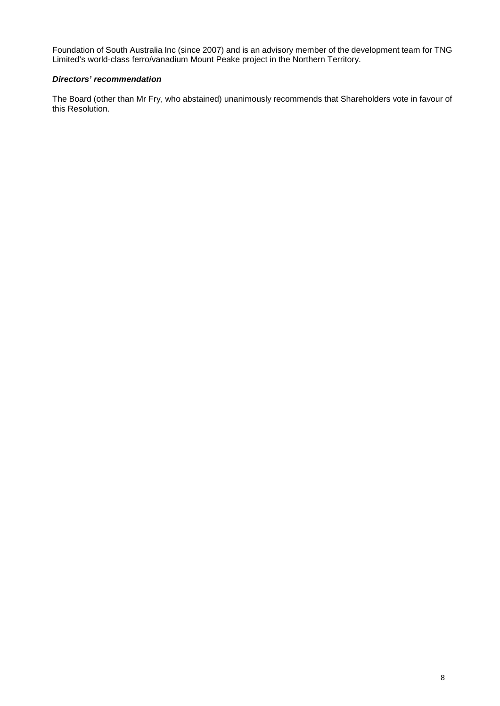Foundation of South Australia Inc (since 2007) and is an advisory member of the development team for TNG Limited's world-class ferro/vanadium Mount Peake project in the Northern Territory.

### *Directors' recommendation*

The Board (other than Mr Fry, who abstained) unanimously recommends that Shareholders vote in favour of this Resolution.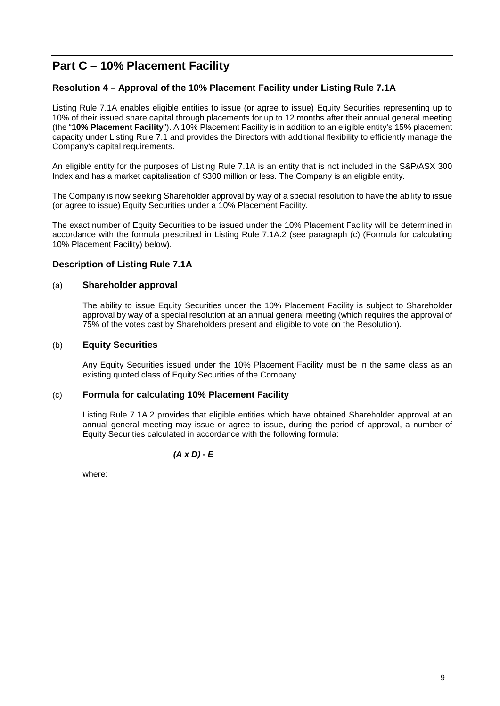# **Part C – 10% Placement Facility**

### **Resolution 4 – Approval of the 10% Placement Facility under Listing Rule 7.1A**

Listing Rule 7.1A enables eligible entities to issue (or agree to issue) Equity Securities representing up to 10% of their issued share capital through placements for up to 12 months after their annual general meeting (the "**10% Placement Facility**"). A 10% Placement Facility is in addition to an eligible entity's 15% placement capacity under Listing Rule 7.1 and provides the Directors with additional flexibility to efficiently manage the Company's capital requirements.

An eligible entity for the purposes of Listing Rule 7.1A is an entity that is not included in the S&P/ASX 300 Index and has a market capitalisation of \$300 million or less. The Company is an eligible entity.

The Company is now seeking Shareholder approval by way of a special resolution to have the ability to issue (or agree to issue) Equity Securities under a 10% Placement Facility.

The exact number of Equity Securities to be issued under the 10% Placement Facility will be determined in accordance with the formula prescribed in Listing Rule 7.1A.2 (see paragraph (c) (Formula for calculating 10% Placement Facility) below).

#### **Description of Listing Rule 7.1A**

#### (a) **Shareholder approval**

The ability to issue Equity Securities under the 10% Placement Facility is subject to Shareholder approval by way of a special resolution at an annual general meeting (which requires the approval of 75% of the votes cast by Shareholders present and eligible to vote on the Resolution).

#### (b) **Equity Securities**

Any Equity Securities issued under the 10% Placement Facility must be in the same class as an existing quoted class of Equity Securities of the Company.

#### (c) **Formula for calculating 10% Placement Facility**

Listing Rule 7.1A.2 provides that eligible entities which have obtained Shareholder approval at an annual general meeting may issue or agree to issue, during the period of approval, a number of Equity Securities calculated in accordance with the following formula:

*(A x D) - E*

where: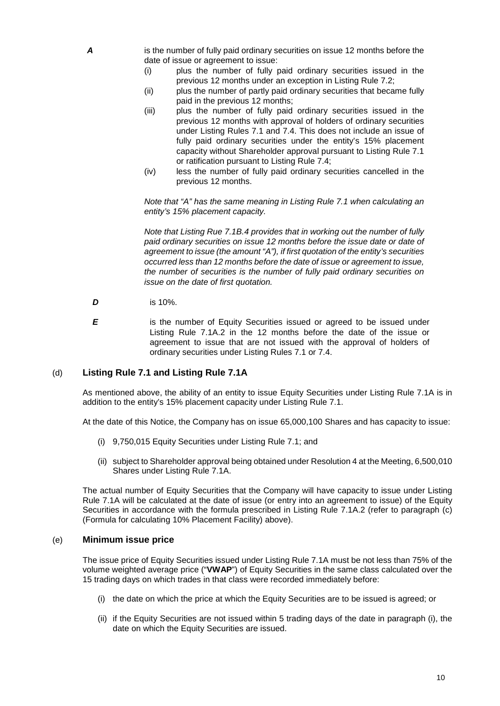*A* is the number of fully paid ordinary securities on issue 12 months before the date of issue or agreement to issue:

- (i) plus the number of fully paid ordinary securities issued in the previous 12 months under an exception in Listing Rule 7.2;
- (ii) plus the number of partly paid ordinary securities that became fully paid in the previous 12 months;
- (iii) plus the number of fully paid ordinary securities issued in the previous 12 months with approval of holders of ordinary securities under Listing Rules 7.1 and 7.4. This does not include an issue of fully paid ordinary securities under the entity's 15% placement capacity without Shareholder approval pursuant to Listing Rule 7.1 or ratification pursuant to Listing Rule 7.4;
- (iv) less the number of fully paid ordinary securities cancelled in the previous 12 months.

*Note that "A" has the same meaning in Listing Rule 7.1 when calculating an entity's 15% placement capacity.*

*Note that Listing Rue 7.1B.4 provides that in working out the number of fully paid ordinary securities on issue 12 months before the issue date or date of agreement to issue (the amount "A"), if first quotation of the entity's securities occurred less than 12 months before the date of issue or agreement to issue, the number of securities is the number of fully paid ordinary securities on issue on the date of first quotation.*

- *D* is 10%.
- **E** is the number of Equity Securities issued or agreed to be issued under Listing Rule 7.1A.2 in the 12 months before the date of the issue or agreement to issue that are not issued with the approval of holders of ordinary securities under Listing Rules 7.1 or 7.4.

#### (d) **Listing Rule 7.1 and Listing Rule 7.1A**

As mentioned above, the ability of an entity to issue Equity Securities under Listing Rule 7.1A is in addition to the entity's 15% placement capacity under Listing Rule 7.1.

At the date of this Notice, the Company has on issue 65,000,100 Shares and has capacity to issue:

- (i) 9,750,015 Equity Securities under Listing Rule 7.1; and
- (ii) subject to Shareholder approval being obtained under Resolution 4 at the Meeting, 6,500,010 Shares under Listing Rule 7.1A.

The actual number of Equity Securities that the Company will have capacity to issue under Listing Rule 7.1A will be calculated at the date of issue (or entry into an agreement to issue) of the Equity Securities in accordance with the formula prescribed in Listing Rule 7.1A.2 (refer to paragraph (c) (Formula for calculating 10% Placement Facility) above).

#### (e) **Minimum issue price**

The issue price of Equity Securities issued under Listing Rule 7.1A must be not less than 75% of the volume weighted average price ("**VWAP**") of Equity Securities in the same class calculated over the 15 trading days on which trades in that class were recorded immediately before:

- (i) the date on which the price at which the Equity Securities are to be issued is agreed; or
- (ii) if the Equity Securities are not issued within 5 trading days of the date in paragraph (i), the date on which the Equity Securities are issued.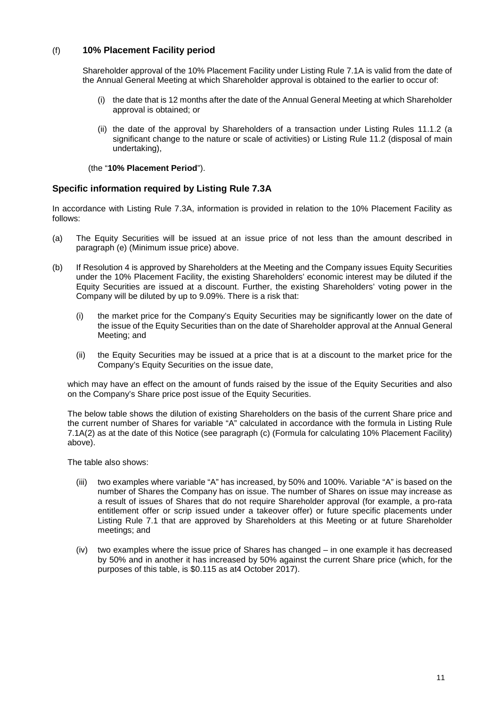### (f) **10% Placement Facility period**

Shareholder approval of the 10% Placement Facility under Listing Rule 7.1A is valid from the date of the Annual General Meeting at which Shareholder approval is obtained to the earlier to occur of:

- (i) the date that is 12 months after the date of the Annual General Meeting at which Shareholder approval is obtained; or
- (ii) the date of the approval by Shareholders of a transaction under Listing Rules 11.1.2 (a significant change to the nature or scale of activities) or Listing Rule 11.2 (disposal of main undertaking),

(the "**10% Placement Period**").

### **Specific information required by Listing Rule 7.3A**

In accordance with Listing Rule 7.3A, information is provided in relation to the 10% Placement Facility as follows:

- (a) The Equity Securities will be issued at an issue price of not less than the amount described in paragraph (e) (Minimum issue price) above.
- (b) If Resolution 4 is approved by Shareholders at the Meeting and the Company issues Equity Securities under the 10% Placement Facility, the existing Shareholders' economic interest may be diluted if the Equity Securities are issued at a discount. Further, the existing Shareholders' voting power in the Company will be diluted by up to 9.09%. There is a risk that:
	- (i) the market price for the Company's Equity Securities may be significantly lower on the date of the issue of the Equity Securities than on the date of Shareholder approval at the Annual General Meeting; and
	- (ii) the Equity Securities may be issued at a price that is at a discount to the market price for the Company's Equity Securities on the issue date,

which may have an effect on the amount of funds raised by the issue of the Equity Securities and also on the Company's Share price post issue of the Equity Securities.

The below table shows the dilution of existing Shareholders on the basis of the current Share price and the current number of Shares for variable "A" calculated in accordance with the formula in Listing Rule 7.1A(2) as at the date of this Notice (see paragraph (c) (Formula for calculating 10% Placement Facility) above).

The table also shows:

- (iii) two examples where variable "A" has increased, by 50% and 100%. Variable "A" is based on the number of Shares the Company has on issue. The number of Shares on issue may increase as a result of issues of Shares that do not require Shareholder approval (for example, a pro-rata entitlement offer or scrip issued under a takeover offer) or future specific placements under Listing Rule 7.1 that are approved by Shareholders at this Meeting or at future Shareholder meetings; and
- (iv) two examples where the issue price of Shares has changed in one example it has decreased by 50% and in another it has increased by 50% against the current Share price (which, for the purposes of this table, is \$0.115 as at4 October 2017).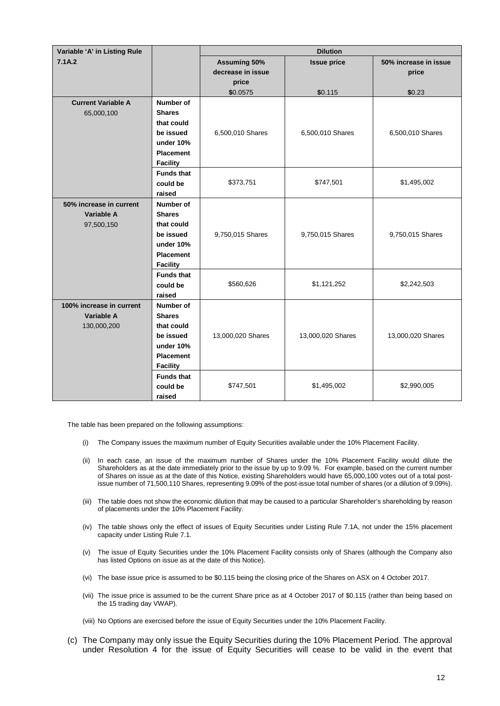| Variable 'A' in Listing Rule |                   | <b>Dilution</b>     |                    |                       |  |  |  |
|------------------------------|-------------------|---------------------|--------------------|-----------------------|--|--|--|
| 7.1A.2                       |                   | <b>Assuming 50%</b> | <b>Issue price</b> | 50% increase in issue |  |  |  |
|                              |                   | decrease in issue   |                    | price                 |  |  |  |
|                              |                   | price               |                    |                       |  |  |  |
|                              |                   | \$0.0575            | \$0.115            | \$0.23                |  |  |  |
| <b>Current Variable A</b>    | Number of         |                     |                    |                       |  |  |  |
| 65,000,100                   | <b>Shares</b>     |                     |                    |                       |  |  |  |
|                              | that could        |                     |                    |                       |  |  |  |
|                              | be issued         | 6,500,010 Shares    | 6,500,010 Shares   | 6,500,010 Shares      |  |  |  |
|                              | under 10%         |                     |                    |                       |  |  |  |
|                              | <b>Placement</b>  |                     |                    |                       |  |  |  |
|                              | <b>Facility</b>   |                     |                    |                       |  |  |  |
|                              | <b>Funds that</b> |                     |                    |                       |  |  |  |
|                              | could be          | \$373,751           | \$747,501          | \$1,495,002           |  |  |  |
|                              | raised            |                     |                    |                       |  |  |  |
| 50% increase in current      | Number of         |                     |                    |                       |  |  |  |
| <b>Variable A</b>            | <b>Shares</b>     |                     |                    |                       |  |  |  |
| 97,500,150                   | that could        |                     |                    |                       |  |  |  |
|                              | be issued         | 9,750,015 Shares    | 9,750,015 Shares   | 9,750,015 Shares      |  |  |  |
|                              | under 10%         |                     |                    |                       |  |  |  |
|                              | <b>Placement</b>  |                     |                    |                       |  |  |  |
|                              | <b>Facility</b>   |                     |                    |                       |  |  |  |
|                              | <b>Funds that</b> |                     |                    |                       |  |  |  |
|                              | could be          | \$560,626           | \$1,121,252        | \$2,242,503           |  |  |  |
|                              | raised            |                     |                    |                       |  |  |  |
| 100% increase in current     | Number of         |                     |                    |                       |  |  |  |
| <b>Variable A</b>            | <b>Shares</b>     |                     |                    |                       |  |  |  |
| 130,000,200                  | that could        |                     |                    |                       |  |  |  |
|                              | be issued         | 13,000,020 Shares   | 13,000,020 Shares  | 13,000,020 Shares     |  |  |  |
|                              | under 10%         |                     |                    |                       |  |  |  |
|                              | <b>Placement</b>  |                     |                    |                       |  |  |  |
|                              | <b>Facility</b>   |                     |                    |                       |  |  |  |
|                              | <b>Funds that</b> | \$747,501           | \$1,495,002        | \$2,990,005           |  |  |  |
|                              | could be          |                     |                    |                       |  |  |  |
|                              | raised            |                     |                    |                       |  |  |  |

The table has been prepared on the following assumptions:

- (i) The Company issues the maximum number of Equity Securities available under the 10% Placement Facility.
- (ii) In each case, an issue of the maximum number of Shares under the 10% Placement Facility would dilute the Shareholders as at the date immediately prior to the issue by up to 9.09 %. For example, based on the current number of Shares on issue as at the date of this Notice, existing Shareholders would have 65,000,100 votes out of a total postissue number of 71,500,110 Shares, representing 9.09% of the post-issue total number of shares (or a dilution of 9.09%).
- (iii) The table does not show the economic dilution that may be caused to a particular Shareholder's shareholding by reason of placements under the 10% Placement Facility.
- (iv) The table shows only the effect of issues of Equity Securities under Listing Rule 7.1A, not under the 15% placement capacity under Listing Rule 7.1.
- (v) The issue of Equity Securities under the 10% Placement Facility consists only of Shares (although the Company also has listed Options on issue as at the date of this Notice).
- (vi) The base issue price is assumed to be \$0.115 being the closing price of the Shares on ASX on 4 October 2017.
- (vii) The issue price is assumed to be the current Share price as at 4 October 2017 of \$0.115 (rather than being based on the 15 trading day VWAP).
- (viii) No Options are exercised before the issue of Equity Securities under the 10% Placement Facility.
- (c) The Company may only issue the Equity Securities during the 10% Placement Period. The approval under Resolution 4 for the issue of Equity Securities will cease to be valid in the event that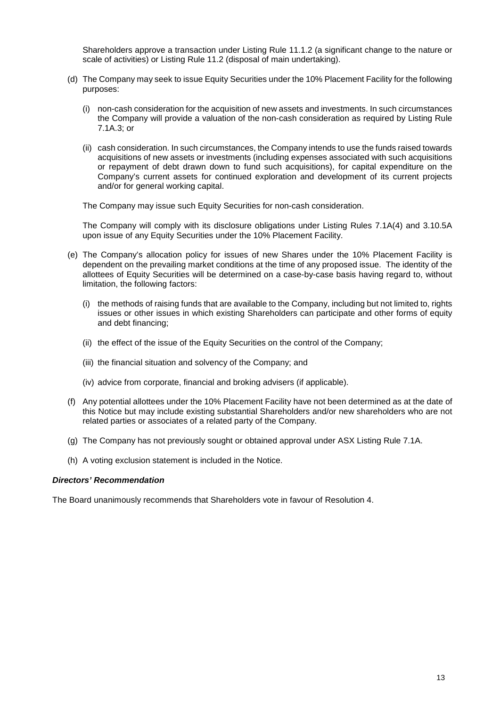Shareholders approve a transaction under Listing Rule 11.1.2 (a significant change to the nature or scale of activities) or Listing Rule 11.2 (disposal of main undertaking).

- (d) The Company may seek to issue Equity Securities under the 10% Placement Facility for the following purposes:
	- (i) non-cash consideration for the acquisition of new assets and investments. In such circumstances the Company will provide a valuation of the non-cash consideration as required by Listing Rule 7.1A.3; or
	- (ii) cash consideration. In such circumstances, the Company intends to use the funds raised towards acquisitions of new assets or investments (including expenses associated with such acquisitions or repayment of debt drawn down to fund such acquisitions), for capital expenditure on the Company's current assets for continued exploration and development of its current projects and/or for general working capital.

The Company may issue such Equity Securities for non-cash consideration.

The Company will comply with its disclosure obligations under Listing Rules 7.1A(4) and 3.10.5A upon issue of any Equity Securities under the 10% Placement Facility.

- (e) The Company's allocation policy for issues of new Shares under the 10% Placement Facility is dependent on the prevailing market conditions at the time of any proposed issue. The identity of the allottees of Equity Securities will be determined on a case-by-case basis having regard to, without limitation, the following factors:
	- (i) the methods of raising funds that are available to the Company, including but not limited to, rights issues or other issues in which existing Shareholders can participate and other forms of equity and debt financing;
	- (ii) the effect of the issue of the Equity Securities on the control of the Company;
	- (iii) the financial situation and solvency of the Company; and
	- (iv) advice from corporate, financial and broking advisers (if applicable).
- (f) Any potential allottees under the 10% Placement Facility have not been determined as at the date of this Notice but may include existing substantial Shareholders and/or new shareholders who are not related parties or associates of a related party of the Company.
- (g) The Company has not previously sought or obtained approval under ASX Listing Rule 7.1A.
- (h) A voting exclusion statement is included in the Notice.

#### *Directors' Recommendation*

The Board unanimously recommends that Shareholders vote in favour of Resolution 4.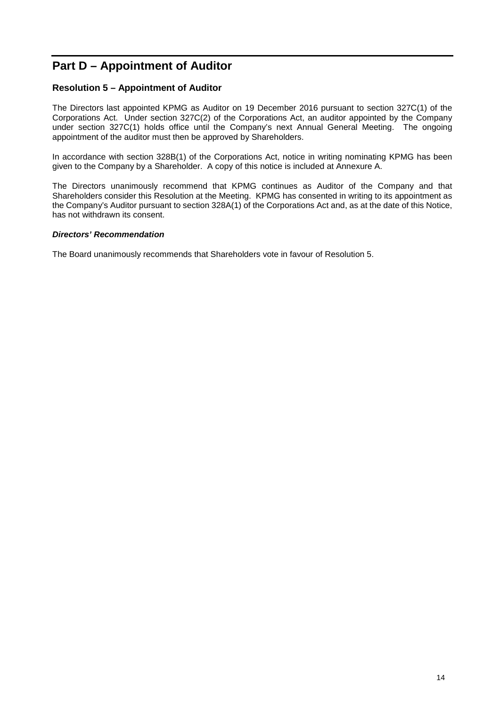# **Part D – Appointment of Auditor**

### **Resolution 5 – Appointment of Auditor**

The Directors last appointed KPMG as Auditor on 19 December 2016 pursuant to section 327C(1) of the Corporations Act. Under section 327C(2) of the Corporations Act, an auditor appointed by the Company under section 327C(1) holds office until the Company's next Annual General Meeting. The ongoing appointment of the auditor must then be approved by Shareholders.

In accordance with section 328B(1) of the Corporations Act, notice in writing nominating KPMG has been given to the Company by a Shareholder. A copy of this notice is included at Annexure A.

The Directors unanimously recommend that KPMG continues as Auditor of the Company and that Shareholders consider this Resolution at the Meeting. KPMG has consented in writing to its appointment as the Company's Auditor pursuant to section 328A(1) of the Corporations Act and, as at the date of this Notice, has not withdrawn its consent.

#### *Directors' Recommendation*

The Board unanimously recommends that Shareholders vote in favour of Resolution 5.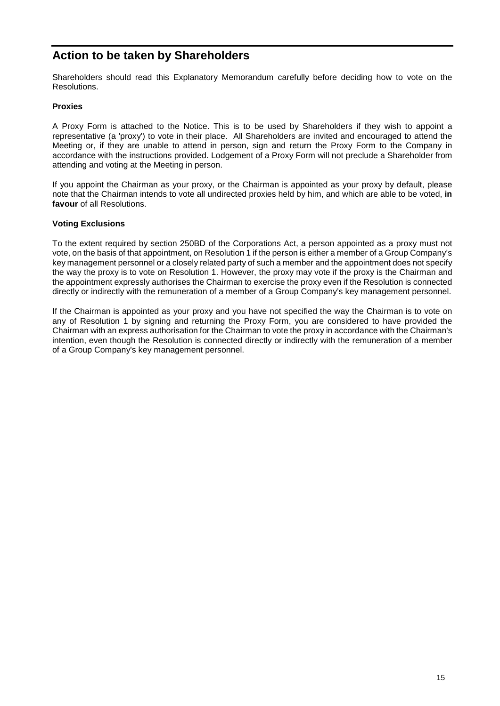# **Action to be taken by Shareholders**

Shareholders should read this Explanatory Memorandum carefully before deciding how to vote on the Resolutions.

#### **Proxies**

A Proxy Form is attached to the Notice. This is to be used by Shareholders if they wish to appoint a representative (a 'proxy') to vote in their place. All Shareholders are invited and encouraged to attend the Meeting or, if they are unable to attend in person, sign and return the Proxy Form to the Company in accordance with the instructions provided. Lodgement of a Proxy Form will not preclude a Shareholder from attending and voting at the Meeting in person.

If you appoint the Chairman as your proxy, or the Chairman is appointed as your proxy by default, please note that the Chairman intends to vote all undirected proxies held by him, and which are able to be voted, **in favour** of all Resolutions.

#### **Voting Exclusions**

To the extent required by section 250BD of the Corporations Act, a person appointed as a proxy must not vote, on the basis of that appointment, on Resolution 1 if the person is either a member of a Group Company's key management personnel or a closely related party of such a member and the appointment does not specify the way the proxy is to vote on Resolution 1. However, the proxy may vote if the proxy is the Chairman and the appointment expressly authorises the Chairman to exercise the proxy even if the Resolution is connected directly or indirectly with the remuneration of a member of a Group Company's key management personnel.

If the Chairman is appointed as your proxy and you have not specified the way the Chairman is to vote on any of Resolution 1 by signing and returning the Proxy Form, you are considered to have provided the Chairman with an express authorisation for the Chairman to vote the proxy in accordance with the Chairman's intention, even though the Resolution is connected directly or indirectly with the remuneration of a member of a Group Company's key management personnel.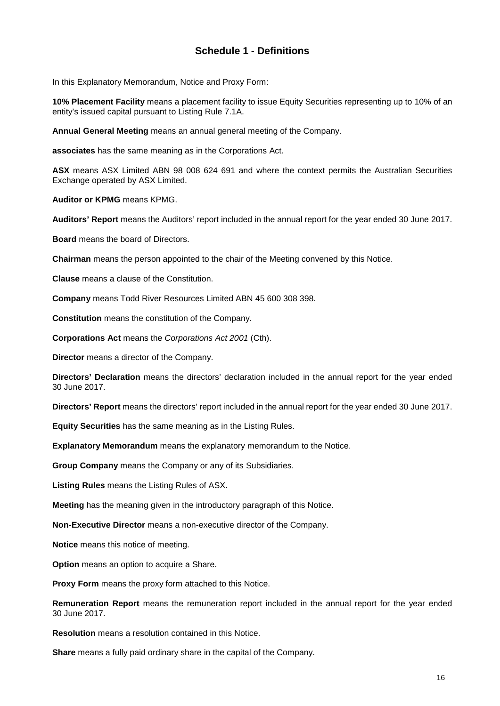### <span id="page-15-0"></span>**Schedule 1 - Definitions**

In this Explanatory Memorandum, Notice and Proxy Form:

**10% Placement Facility** means a placement facility to issue Equity Securities representing up to 10% of an entity's issued capital pursuant to Listing Rule 7.1A.

**Annual General Meeting** means an annual general meeting of the Company.

**associates** has the same meaning as in the Corporations Act.

**ASX** means ASX Limited ABN 98 008 624 691 and where the context permits the Australian Securities Exchange operated by ASX Limited.

**Auditor or KPMG** means KPMG.

**Auditors' Report** means the Auditors' report included in the annual report for the year ended 30 June 2017.

**Board** means the board of Directors.

**Chairman** means the person appointed to the chair of the Meeting convened by this Notice.

**Clause** means a clause of the Constitution.

**Company** means Todd River Resources Limited ABN 45 600 308 398.

**Constitution** means the constitution of the Company.

**Corporations Act** means the *Corporations Act 2001* (Cth).

**Director** means a director of the Company.

**Directors' Declaration** means the directors' declaration included in the annual report for the year ended 30 June 2017.

**Directors' Report** means the directors' report included in the annual report for the year ended 30 June 2017.

**Equity Securities** has the same meaning as in the Listing Rules.

**Explanatory Memorandum** means the explanatory memorandum to the Notice.

**Group Company** means the Company or any of its Subsidiaries.

**Listing Rules** means the Listing Rules of ASX.

**Meeting** has the meaning given in the introductory paragraph of this Notice.

**Non-Executive Director** means a non-executive director of the Company.

**Notice** means this notice of meeting.

**Option** means an option to acquire a Share.

**Proxy Form** means the proxy form attached to this Notice.

**Remuneration Report** means the remuneration report included in the annual report for the year ended 30 June 2017.

**Resolution** means a resolution contained in this Notice.

**Share** means a fully paid ordinary share in the capital of the Company.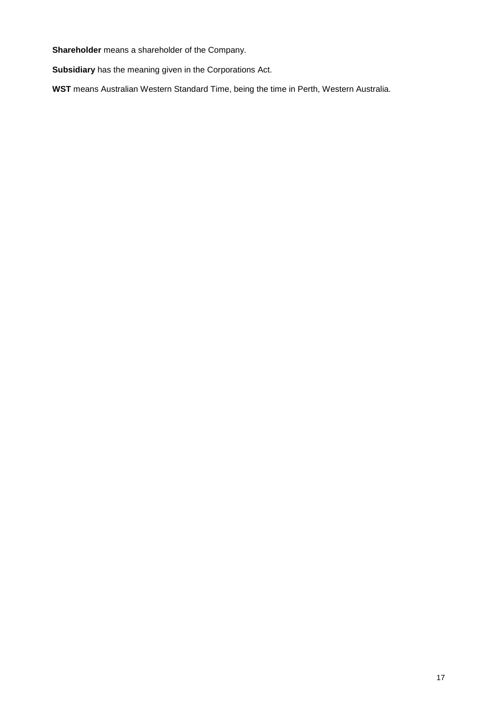**Shareholder** means a shareholder of the Company.

**Subsidiary** has the meaning given in the Corporations Act.

**WST** means Australian Western Standard Time, being the time in Perth, Western Australia.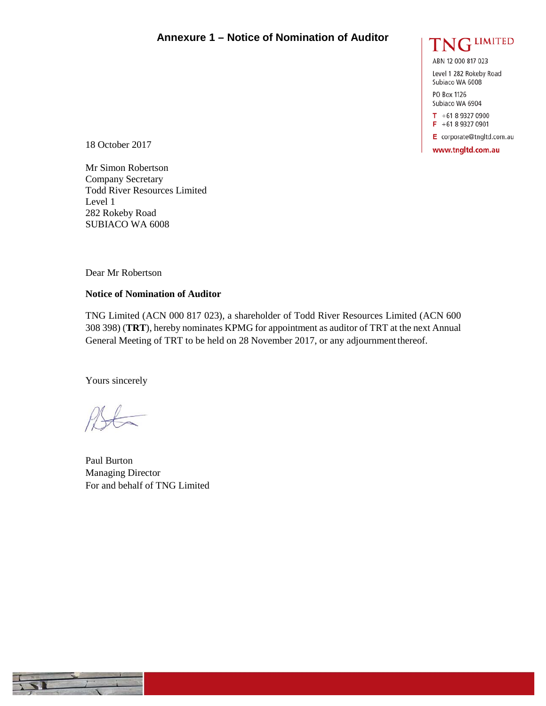### **Annexure 1 – Notice of Nomination of Auditor**



ABN 12 000 817 023

Level 1 282 Rokeby Road Subiaco WA 6008

PO Box 1126 Subiaco WA 6904

 $T + 61893270900$ F +61 8 9327 0901

E corporate@tngltd.com.au

www.tngltd.com.au

18 October 2017

Mr Simon Robertson Company Secretary Todd River Resources Limited Level 1 282 Rokeby Road SUBIACO WA 6008

Dear Mr Robertson

#### **Notice of Nomination of Auditor**

TNG Limited (ACN 000 817 023), a shareholder of Todd River Resources Limited (ACN 600 308 398) (**TRT**), hereby nominates KPMG for appointment as auditor of TRT at the next Annual General Meeting of TRT to be held on 28 November 2017, or any adjournmentthereof.

Yours sincerely

Paul Burton Managing Director For and behalf of TNG Limited

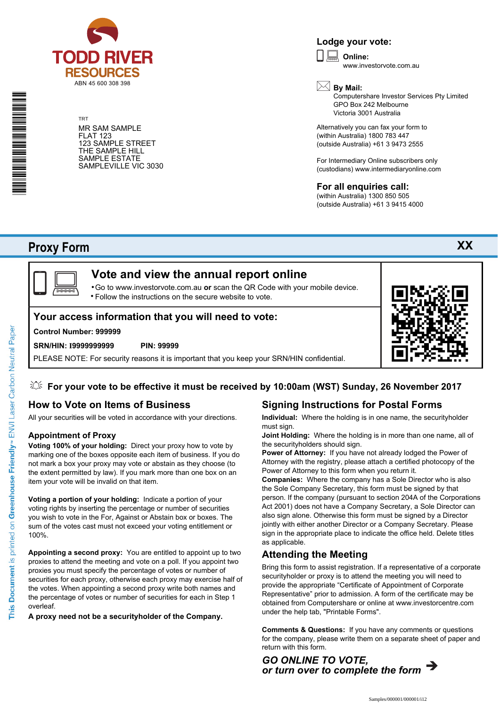

TRT MR SAM SAMPLE FLAT 123 123 SAMPLE STREET THE SAMPLE HILL SAMPLE ESTATE SAMPLEVILLE VIC 3030

### **Lodge your vote:**

**Online:** www.investorvote.com.au



Computershare Investor Services Pty Limited GPO Box 242 Melbourne Victoria 3001 Australia

Alternatively you can fax your form to (within Australia) 1800 783 447 (outside Australia) +61 3 9473 2555

For Intermediary Online subscribers only (custodians) www.intermediaryonline.com

### **For all enquiries call:**

(within Australia) 1300 850 505 (outside Australia) +61 3 9415 4000

# **Proxy Form**

\* S0000112<br>S0000112<br>S0000112



# **Vote and view the annual report online**

Go to www.investorvote.com.au **or** scan the QR Code with your mobile device. Follow the instructions on the secure website to vote. •

### **Your access information that you will need to vote:**

#### **Control Number: 999999**

#### **SRN/HIN: I9999999999 PIN: 99999**

PLEASE NOTE: For security reasons it is important that you keep your SRN/HIN confidential.

### **For your vote to be effective it must be received by 10:00am (WST) Sunday, 26 November 2017**

### **How to Vote on Items of Business**

All your securities will be voted in accordance with your directions.

#### **Appointment of Proxy**

**Voting 100% of your holding:** Direct your proxy how to vote by marking one of the boxes opposite each item of business. If you do not mark a box your proxy may vote or abstain as they choose (to the extent permitted by law). If you mark more than one box on an item your vote will be invalid on that item.

**Voting a portion of your holding:** Indicate a portion of your voting rights by inserting the percentage or number of securities you wish to vote in the For, Against or Abstain box or boxes. The sum of the votes cast must not exceed your voting entitlement or 100%.

**Appointing a second proxy:** You are entitled to appoint up to two proxies to attend the meeting and vote on a poll. If you appoint two proxies you must specify the percentage of votes or number of securities for each proxy, otherwise each proxy may exercise half of the votes. When appointing a second proxy write both names and the percentage of votes or number of securities for each in Step 1 overleaf.

**A proxy need not be a securityholder of the Company.**

### **Signing Instructions for Postal Forms**

**Individual:** Where the holding is in one name, the securityholder must sign.

**Joint Holding:** Where the holding is in more than one name, all of the securityholders should sign.

**Power of Attorney:** If you have not already lodged the Power of Attorney with the registry, please attach a certified photocopy of the Power of Attorney to this form when you return it.

**Companies:** Where the company has a Sole Director who is also the Sole Company Secretary, this form must be signed by that person. If the company (pursuant to section 204A of the Corporations Act 2001) does not have a Company Secretary, a Sole Director can also sign alone. Otherwise this form must be signed by a Director jointly with either another Director or a Company Secretary. Please sign in the appropriate place to indicate the office held. Delete titles as applicable.

### **Attending the Meeting**

Bring this form to assist registration. If a representative of a corporate securityholder or proxy is to attend the meeting you will need to provide the appropriate "Certificate of Appointment of Corporate Representative" prior to admission. A form of the certificate may be obtained from Computershare or online at www.investorcentre.com under the help tab, "Printable Forms".

**Comments & Questions:** If you have any comments or questions for the company, please write them on a separate sheet of paper and return with this form.



**XX**